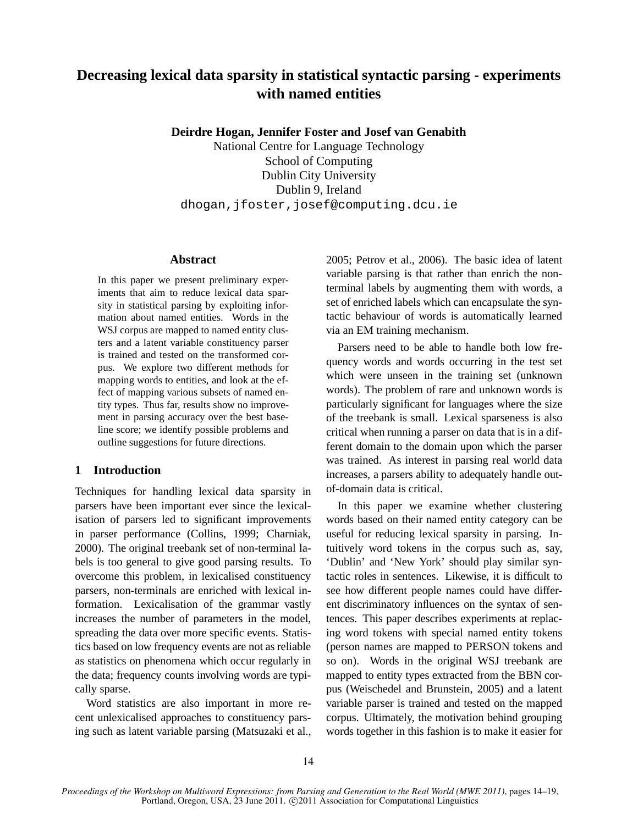# **Decreasing lexical data sparsity in statistical syntactic parsing - experiments with named entities**

**Deirdre Hogan, Jennifer Foster and Josef van Genabith**

National Centre for Language Technology School of Computing Dublin City University Dublin 9, Ireland dhogan,jfoster,josef@computing.dcu.ie

## **Abstract**

In this paper we present preliminary experiments that aim to reduce lexical data sparsity in statistical parsing by exploiting information about named entities. Words in the WSJ corpus are mapped to named entity clusters and a latent variable constituency parser is trained and tested on the transformed corpus. We explore two different methods for mapping words to entities, and look at the effect of mapping various subsets of named entity types. Thus far, results show no improvement in parsing accuracy over the best baseline score; we identify possible problems and outline suggestions for future directions.

# **1 Introduction**

Techniques for handling lexical data sparsity in parsers have been important ever since the lexicalisation of parsers led to significant improvements in parser performance (Collins, 1999; Charniak, 2000). The original treebank set of non-terminal labels is too general to give good parsing results. To overcome this problem, in lexicalised constituency parsers, non-terminals are enriched with lexical information. Lexicalisation of the grammar vastly increases the number of parameters in the model, spreading the data over more specific events. Statistics based on low frequency events are not as reliable as statistics on phenomena which occur regularly in the data; frequency counts involving words are typically sparse.

Word statistics are also important in more recent unlexicalised approaches to constituency parsing such as latent variable parsing (Matsuzaki et al., 2005; Petrov et al., 2006). The basic idea of latent variable parsing is that rather than enrich the nonterminal labels by augmenting them with words, a set of enriched labels which can encapsulate the syntactic behaviour of words is automatically learned via an EM training mechanism.

Parsers need to be able to handle both low frequency words and words occurring in the test set which were unseen in the training set (unknown words). The problem of rare and unknown words is particularly significant for languages where the size of the treebank is small. Lexical sparseness is also critical when running a parser on data that is in a different domain to the domain upon which the parser was trained. As interest in parsing real world data increases, a parsers ability to adequately handle outof-domain data is critical.

In this paper we examine whether clustering words based on their named entity category can be useful for reducing lexical sparsity in parsing. Intuitively word tokens in the corpus such as, say, 'Dublin' and 'New York' should play similar syntactic roles in sentences. Likewise, it is difficult to see how different people names could have different discriminatory influences on the syntax of sentences. This paper describes experiments at replacing word tokens with special named entity tokens (person names are mapped to PERSON tokens and so on). Words in the original WSJ treebank are mapped to entity types extracted from the BBN corpus (Weischedel and Brunstein, 2005) and a latent variable parser is trained and tested on the mapped corpus. Ultimately, the motivation behind grouping words together in this fashion is to make it easier for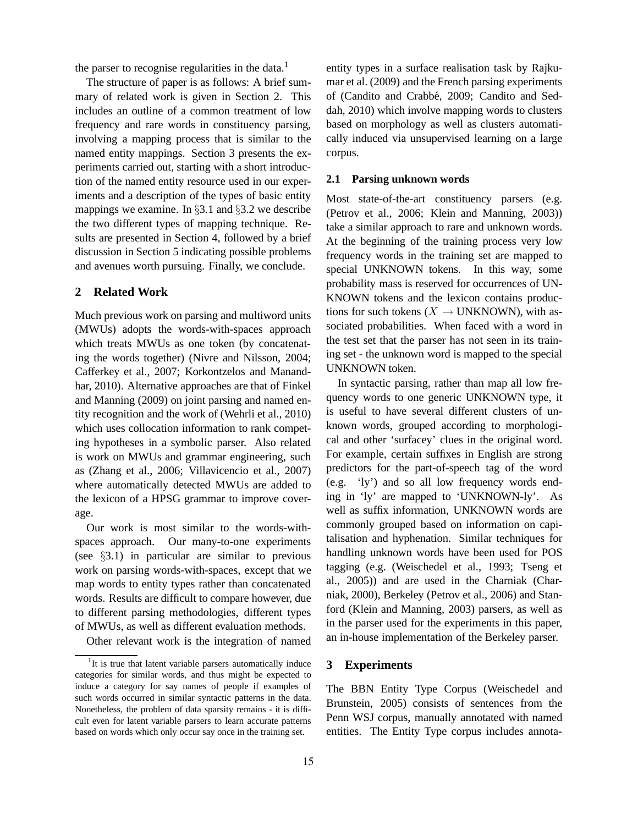the parser to recognise regularities in the data. $<sup>1</sup>$ </sup>

The structure of paper is as follows: A brief summary of related work is given in Section 2. This includes an outline of a common treatment of low frequency and rare words in constituency parsing, involving a mapping process that is similar to the named entity mappings. Section 3 presents the experiments carried out, starting with a short introduction of the named entity resource used in our experiments and a description of the types of basic entity mappings we examine. In  $\S 3.1$  and  $\S 3.2$  we describe the two different types of mapping technique. Results are presented in Section 4, followed by a brief discussion in Section 5 indicating possible problems and avenues worth pursuing. Finally, we conclude.

# **2 Related Work**

Much previous work on parsing and multiword units (MWUs) adopts the words-with-spaces approach which treats MWUs as one token (by concatenating the words together) (Nivre and Nilsson, 2004; Cafferkey et al., 2007; Korkontzelos and Manandhar, 2010). Alternative approaches are that of Finkel and Manning (2009) on joint parsing and named entity recognition and the work of (Wehrli et al., 2010) which uses collocation information to rank competing hypotheses in a symbolic parser. Also related is work on MWUs and grammar engineering, such as (Zhang et al., 2006; Villavicencio et al., 2007) where automatically detected MWUs are added to the lexicon of a HPSG grammar to improve coverage.

Our work is most similar to the words-withspaces approach. Our many-to-one experiments (see §3.1) in particular are similar to previous work on parsing words-with-spaces, except that we map words to entity types rather than concatenated words. Results are difficult to compare however, due to different parsing methodologies, different types of MWUs, as well as different evaluation methods.

Other relevant work is the integration of named

entity types in a surface realisation task by Rajkumar et al. (2009) and the French parsing experiments of (Candito and Crabbé, 2009; Candito and Seddah, 2010) which involve mapping words to clusters based on morphology as well as clusters automatically induced via unsupervised learning on a large corpus.

#### **2.1 Parsing unknown words**

Most state-of-the-art constituency parsers (e.g. (Petrov et al., 2006; Klein and Manning, 2003)) take a similar approach to rare and unknown words. At the beginning of the training process very low frequency words in the training set are mapped to special UNKNOWN tokens. In this way, some probability mass is reserved for occurrences of UN-KNOWN tokens and the lexicon contains productions for such tokens  $(X \rightarrow \text{UNKNOWLEDN})$ , with associated probabilities. When faced with a word in the test set that the parser has not seen in its training set - the unknown word is mapped to the special UNKNOWN token.

In syntactic parsing, rather than map all low frequency words to one generic UNKNOWN type, it is useful to have several different clusters of unknown words, grouped according to morphological and other 'surfacey' clues in the original word. For example, certain suffixes in English are strong predictors for the part-of-speech tag of the word (e.g. 'ly') and so all low frequency words ending in 'ly' are mapped to 'UNKNOWN-ly'. As well as suffix information, UNKNOWN words are commonly grouped based on information on capitalisation and hyphenation. Similar techniques for handling unknown words have been used for POS tagging (e.g. (Weischedel et al., 1993; Tseng et al., 2005)) and are used in the Charniak (Charniak, 2000), Berkeley (Petrov et al., 2006) and Stanford (Klein and Manning, 2003) parsers, as well as in the parser used for the experiments in this paper, an in-house implementation of the Berkeley parser.

## **3 Experiments**

The BBN Entity Type Corpus (Weischedel and Brunstein, 2005) consists of sentences from the Penn WSJ corpus, manually annotated with named entities. The Entity Type corpus includes annota-

<sup>&</sup>lt;sup>1</sup>It is true that latent variable parsers automatically induce categories for similar words, and thus might be expected to induce a category for say names of people if examples of such words occurred in similar syntactic patterns in the data. Nonetheless, the problem of data sparsity remains - it is difficult even for latent variable parsers to learn accurate patterns based on words which only occur say once in the training set.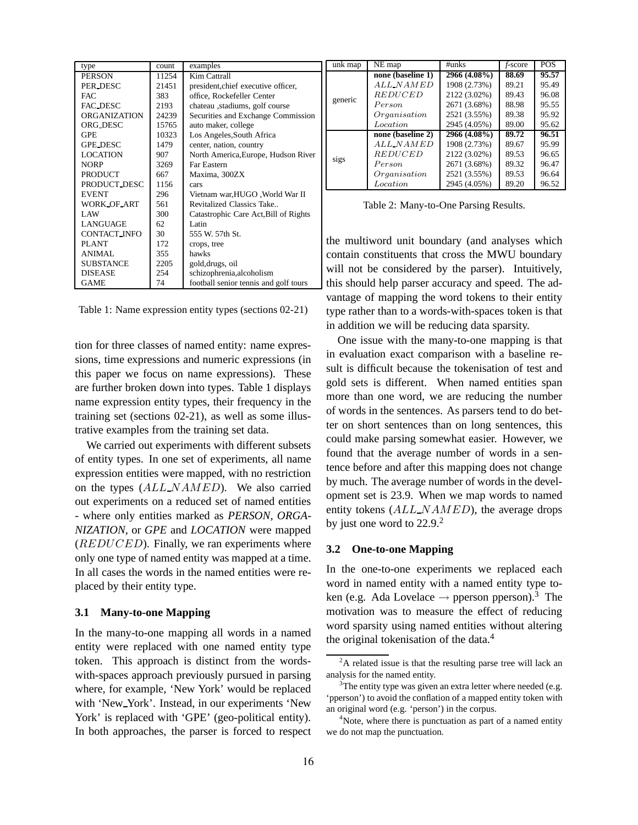| type                | count | examples                              |  |
|---------------------|-------|---------------------------------------|--|
| <b>PERSON</b>       | 11254 | Kim Cattrall                          |  |
| PER DESC            | 21451 | president, chief executive officer,   |  |
| FAC.                | 383   | office, Rockefeller Center            |  |
| FAC_DESC            | 2193  | chateau ,stadiums, golf course        |  |
| <b>ORGANIZATION</b> | 24239 | Securities and Exchange Commission    |  |
| ORG_DESC            | 15765 | auto maker, college                   |  |
| <b>GPE</b>          | 10323 | Los Angeles, South Africa             |  |
| <b>GPE_DESC</b>     | 1479  | center, nation, country               |  |
| <b>LOCATION</b>     | 907   | North America, Europe, Hudson River   |  |
| <b>NORP</b>         | 3269  | <b>Far Eastern</b>                    |  |
| <b>PRODUCT</b>      | 667   | Maxima, 300ZX                         |  |
| PRODUCT_DESC        | 1156  | cars                                  |  |
| <b>EVENT</b>        | 296   | Vietnam war, HUGO, World War II       |  |
| WORK OF ART         | 561   | Revitalized Classics Take             |  |
| LAW                 | 300   | Catastrophic Care Act, Bill of Rights |  |
| LANGUAGE            | 62.   | Latin                                 |  |
| CONTACT_INFO        | 30    | 555 W. 57th St.                       |  |
| PLANT               | 172   | crops, tree                           |  |
| ANIMAL              | 355   | hawks                                 |  |
| <b>SUBSTANCE</b>    | 2205  | gold, drugs, oil                      |  |
| <b>DISEASE</b>      | 254   | schizophrenia, alcoholism             |  |
| <b>GAME</b>         | 74    | football senior tennis and golf tours |  |

Table 1: Name expression entity types (sections 02-21)

tion for three classes of named entity: name expressions, time expressions and numeric expressions (in this paper we focus on name expressions). These are further broken down into types. Table 1 displays name expression entity types, their frequency in the training set (sections 02-21), as well as some illustrative examples from the training set data.

We carried out experiments with different subsets of entity types. In one set of experiments, all name expression entities were mapped, with no restriction on the types (ALL NAMED). We also carried out experiments on a reduced set of named entities - where only entities marked as *PERSON*, *ORGA-NIZATION*, or *GPE* and *LOCATION* were mapped  $(REDUCED)$ . Finally, we ran experiments where only one type of named entity was mapped at a time. In all cases the words in the named entities were replaced by their entity type.

## **3.1 Many-to-one Mapping**

In the many-to-one mapping all words in a named entity were replaced with one named entity type token. This approach is distinct from the wordswith-spaces approach previously pursued in parsing where, for example, 'New York' would be replaced with 'New York'. Instead, in our experiments 'New York' is replaced with 'GPE' (geo-political entity). In both approaches, the parser is forced to respect

| unk map | NE map                   | #unks        | f-score | <b>POS</b> |
|---------|--------------------------|--------------|---------|------------|
| generic | none (baseline 1)        | 2966 (4.08%) | 88.69   | 95.57      |
|         | $ALL-NAMED$              | 1908 (2.73%) | 89.21   | 95.49      |
|         | <b>REDUCED</b>           | 2122 (3.02%) | 89.43   | 96.08      |
|         | Person                   | 2671 (3.68%) | 88.98   | 95.55      |
|         | Organisation             | 2521 (3.55%) | 89.38   | 95.92      |
|         | <i>Location</i>          | 2945 (4.05%) | 89.00   | 95.62      |
|         | none (baseline 2)        | 2966(4.08%)  | 89.72   | 96.51      |
| sigs    | $ALL$ <sub>-</sub> NAMED | 1908 (2.73%) | 89.67   | 95.99      |
|         | <b>REDUCED</b>           | 2122 (3.02%) | 89.53   | 96.65      |
|         | Person                   | 2671 (3.68%) | 89.32   | 96.47      |
|         | Organisation             | 2521 (3.55%) | 89.53   | 96.64      |
|         | Location                 | 2945 (4.05%) | 89.20   | 96.52      |

Table 2: Many-to-One Parsing Results.

the multiword unit boundary (and analyses which contain constituents that cross the MWU boundary will not be considered by the parser). Intuitively, this should help parser accuracy and speed. The advantage of mapping the word tokens to their entity type rather than to a words-with-spaces token is that in addition we will be reducing data sparsity.

One issue with the many-to-one mapping is that in evaluation exact comparison with a baseline result is difficult because the tokenisation of test and gold sets is different. When named entities span more than one word, we are reducing the number of words in the sentences. As parsers tend to do better on short sentences than on long sentences, this could make parsing somewhat easier. However, we found that the average number of words in a sentence before and after this mapping does not change by much. The average number of words in the development set is 23.9. When we map words to named entity tokens  $(ALL\_NAMED)$ , the average drops by just one word to 22.9.<sup>2</sup>

## **3.2 One-to-one Mapping**

In the one-to-one experiments we replaced each word in named entity with a named entity type token (e.g. Ada Lovelace  $\rightarrow$  pperson pperson).<sup>3</sup> The motivation was to measure the effect of reducing word sparsity using named entities without altering the original tokenisation of the data.<sup>4</sup>

 $2A$  related issue is that the resulting parse tree will lack an analysis for the named entity.

 $3$ The entity type was given an extra letter where needed (e.g. 'pperson') to avoid the conflation of a mapped entity token with an original word (e.g. 'person') in the corpus.

<sup>&</sup>lt;sup>4</sup>Note, where there is punctuation as part of a named entity we do not map the punctuation.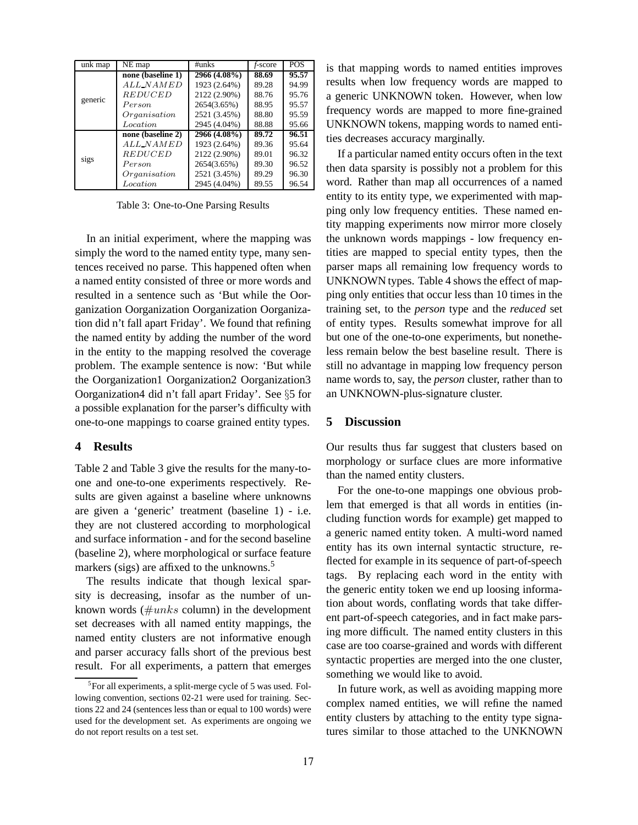| unk map | NE map                | $\#$ unks    | f-score | <b>POS</b> |
|---------|-----------------------|--------------|---------|------------|
| generic | none (baseline 1)     | 2966 (4.08%) | 88.69   | 95.57      |
|         | ALL <sub>N</sub> AMED | 1923 (2.64%) | 89.28   | 94.99      |
|         | <b>REDUCED</b>        | 2122 (2.90%) | 88.76   | 95.76      |
|         | Person                | 2654(3.65%)  | 88.95   | 95.57      |
|         | Organisation          | 2521 (3.45%) | 88.80   | 95.59      |
|         | <i>Location</i>       | 2945 (4.04%) | 88.88   | 95.66      |
| sigs    | none (baseline 2)     | 2966 (4.08%) | 89.72   | 96.51      |
|         | $ALL-NAMED$           | 1923 (2.64%) | 89.36   | 95.64      |
|         | <b>REDUCED</b>        | 2122 (2.90%) | 89.01   | 96.32      |
|         | Person                | 2654(3.65%)  | 89.30   | 96.52      |
|         | Organisation          | 2521 (3.45%) | 89.29   | 96.30      |
|         | Location              | 2945 (4.04%) | 89.55   | 96.54      |

Table 3: One-to-One Parsing Results

In an initial experiment, where the mapping was simply the word to the named entity type, many sentences received no parse. This happened often when a named entity consisted of three or more words and resulted in a sentence such as 'But while the Oorganization Oorganization Oorganization Oorganization did n't fall apart Friday'. We found that refining the named entity by adding the number of the word in the entity to the mapping resolved the coverage problem. The example sentence is now: 'But while the Oorganization1 Oorganization2 Oorganization3 Oorganization4 did n't fall apart Friday'. See §5 for a possible explanation for the parser's difficulty with one-to-one mappings to coarse grained entity types.

## **4 Results**

Table 2 and Table 3 give the results for the many-toone and one-to-one experiments respectively. Results are given against a baseline where unknowns are given a 'generic' treatment (baseline 1) - i.e. they are not clustered according to morphological and surface information - and for the second baseline (baseline 2), where morphological or surface feature markers (sigs) are affixed to the unknowns.<sup>5</sup>

The results indicate that though lexical sparsity is decreasing, insofar as the number of unknown words ( $\#unks$  column) in the development set decreases with all named entity mappings, the named entity clusters are not informative enough and parser accuracy falls short of the previous best result. For all experiments, a pattern that emerges is that mapping words to named entities improves results when low frequency words are mapped to a generic UNKNOWN token. However, when low frequency words are mapped to more fine-grained UNKNOWN tokens, mapping words to named entities decreases accuracy marginally.

If a particular named entity occurs often in the text then data sparsity is possibly not a problem for this word. Rather than map all occurrences of a named entity to its entity type, we experimented with mapping only low frequency entities. These named entity mapping experiments now mirror more closely the unknown words mappings - low frequency entities are mapped to special entity types, then the parser maps all remaining low frequency words to UNKNOWN types. Table 4 shows the effect of mapping only entities that occur less than 10 times in the training set, to the *person* type and the *reduced* set of entity types. Results somewhat improve for all but one of the one-to-one experiments, but nonetheless remain below the best baseline result. There is still no advantage in mapping low frequency person name words to, say, the *person* cluster, rather than to an UNKNOWN-plus-signature cluster.

#### **5 Discussion**

Our results thus far suggest that clusters based on morphology or surface clues are more informative than the named entity clusters.

For the one-to-one mappings one obvious problem that emerged is that all words in entities (including function words for example) get mapped to a generic named entity token. A multi-word named entity has its own internal syntactic structure, reflected for example in its sequence of part-of-speech tags. By replacing each word in the entity with the generic entity token we end up loosing information about words, conflating words that take different part-of-speech categories, and in fact make parsing more difficult. The named entity clusters in this case are too coarse-grained and words with different syntactic properties are merged into the one cluster, something we would like to avoid.

In future work, as well as avoiding mapping more complex named entities, we will refine the named entity clusters by attaching to the entity type signatures similar to those attached to the UNKNOWN

<sup>&</sup>lt;sup>5</sup>For all experiments, a split-merge cycle of 5 was used. Following convention, sections 02-21 were used for training. Sections 22 and 24 (sentences less than or equal to 100 words) were used for the development set. As experiments are ongoing we do not report results on a test set.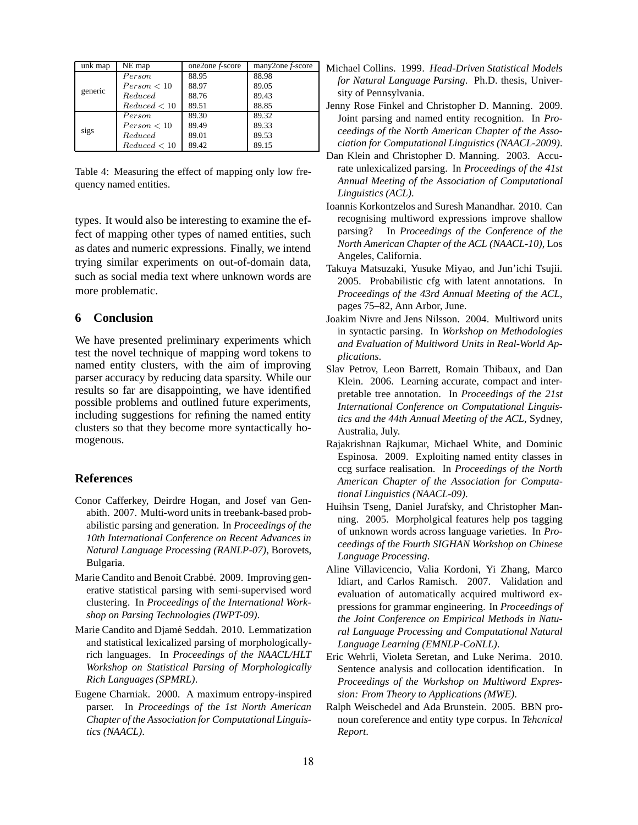| unk map | NE map       | one2one <i>f</i> -score | many2one <i>f</i> -score |
|---------|--------------|-------------------------|--------------------------|
| generic | Person       | 88.95                   | 88.98                    |
|         | Person < 10  | 88.97                   | 89.05                    |
|         | Reduced      | 88.76                   | 89.43                    |
|         | Reduced < 10 | 89.51                   | 88.85                    |
| sigs    | Person       | 89.30                   | 89.32                    |
|         | Person < 10  | 89.49                   | 89.33                    |
|         | Reduced      | 89.01                   | 89.53                    |
|         | Reduced < 10 | 89.42                   | 89.15                    |

Table 4: Measuring the effect of mapping only low frequency named entities.

types. It would also be interesting to examine the effect of mapping other types of named entities, such as dates and numeric expressions. Finally, we intend trying similar experiments on out-of-domain data, such as social media text where unknown words are more problematic.

## **6 Conclusion**

We have presented preliminary experiments which test the novel technique of mapping word tokens to named entity clusters, with the aim of improving parser accuracy by reducing data sparsity. While our results so far are disappointing, we have identified possible problems and outlined future experiments, including suggestions for refining the named entity clusters so that they become more syntactically homogenous.

#### **References**

- Conor Cafferkey, Deirdre Hogan, and Josef van Genabith. 2007. Multi-word units in treebank-based probabilistic parsing and generation. In *Proceedings of the 10th International Conference on Recent Advances in Natural Language Processing (RANLP-07)*, Borovets, Bulgaria.
- Marie Candito and Benoit Crabbé. 2009. Improving generative statistical parsing with semi-supervised word clustering. In *Proceedings of the International Workshop on Parsing Technologies (IWPT-09)*.
- Marie Candito and Djamé Seddah. 2010. Lemmatization and statistical lexicalized parsing of morphologicallyrich languages. In *Proceedings of the NAACL/HLT Workshop on Statistical Parsing of Morphologically Rich Languages (SPMRL)*.
- Eugene Charniak. 2000. A maximum entropy-inspired parser. In *Proceedings of the 1st North American Chapter of the Association for Computational Linguistics (NAACL)*.
- Michael Collins. 1999. *Head-Driven Statistical Models for Natural Language Parsing*. Ph.D. thesis, University of Pennsylvania.
- Jenny Rose Finkel and Christopher D. Manning. 2009. Joint parsing and named entity recognition. In *Proceedings of the North American Chapter of the Association for Computational Linguistics (NAACL-2009)*.
- Dan Klein and Christopher D. Manning. 2003. Accurate unlexicalized parsing. In *Proceedings of the 41st Annual Meeting of the Association of Computational Linguistics (ACL)*.
- Ioannis Korkontzelos and Suresh Manandhar. 2010. Can recognising multiword expressions improve shallow parsing? In *Proceedings of the Conference of the North American Chapter of the ACL (NAACL-10)*, Los Angeles, California.
- Takuya Matsuzaki, Yusuke Miyao, and Jun'ichi Tsujii. 2005. Probabilistic cfg with latent annotations. In *Proceedings of the 43rd Annual Meeting of the ACL*, pages 75–82, Ann Arbor, June.
- Joakim Nivre and Jens Nilsson. 2004. Multiword units in syntactic parsing. In *Workshop on Methodologies and Evaluation of Multiword Units in Real-World Applications*.
- Slav Petrov, Leon Barrett, Romain Thibaux, and Dan Klein. 2006. Learning accurate, compact and interpretable tree annotation. In *Proceedings of the 21st International Conference on Computational Linguistics and the 44th Annual Meeting of the ACL*, Sydney, Australia, July.
- Rajakrishnan Rajkumar, Michael White, and Dominic Espinosa. 2009. Exploiting named entity classes in ccg surface realisation. In *Proceedings of the North American Chapter of the Association for Computational Linguistics (NAACL-09)*.
- Huihsin Tseng, Daniel Jurafsky, and Christopher Manning. 2005. Morpholgical features help pos tagging of unknown words across language varieties. In *Proceedings of the Fourth SIGHAN Workshop on Chinese Language Processing*.
- Aline Villavicencio, Valia Kordoni, Yi Zhang, Marco Idiart, and Carlos Ramisch. 2007. Validation and evaluation of automatically acquired multiword expressions for grammar engineering. In *Proceedings of the Joint Conference on Empirical Methods in Natural Language Processing and Computational Natural Language Learning (EMNLP-CoNLL)*.
- Eric Wehrli, Violeta Seretan, and Luke Nerima. 2010. Sentence analysis and collocation identification. In *Proceedings of the Workshop on Multiword Expression: From Theory to Applications (MWE)*.
- Ralph Weischedel and Ada Brunstein. 2005. BBN pronoun coreference and entity type corpus. In *Tehcnical Report*.